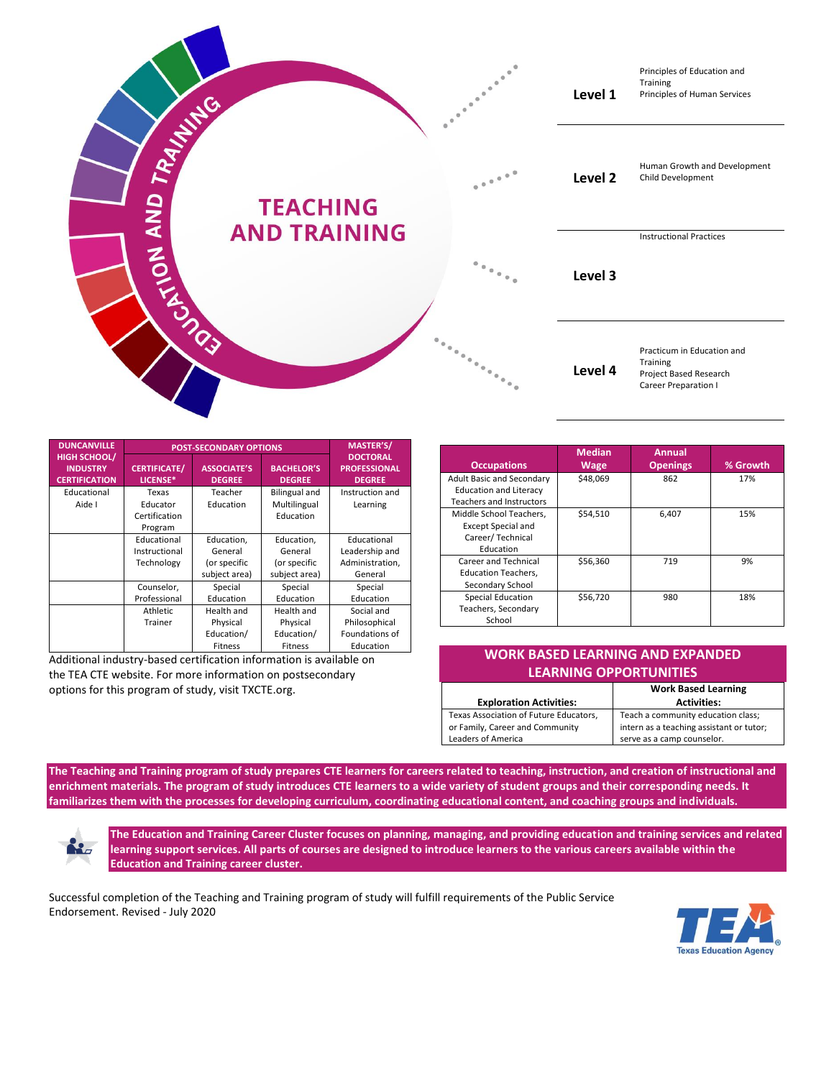

| <b>DUNCANVILLE</b>                                             | <b>POST-SECONDARY OPTIONS</b>   |                                     |                                    | <b>MASTER'S/</b>                                        |
|----------------------------------------------------------------|---------------------------------|-------------------------------------|------------------------------------|---------------------------------------------------------|
| <b>HIGH SCHOOL/</b><br><b>INDUSTRY</b><br><b>CERTIFICATION</b> | <b>CERTIFICATE/</b><br>LICENSE* | <b>ASSOCIATE'S</b><br><b>DEGREE</b> | <b>BACHELOR'S</b><br><b>DEGREE</b> | <b>DOCTORAL</b><br><b>PROFESSIONAL</b><br><b>DEGREE</b> |
| Educational                                                    | Texas                           | Teacher                             | <b>Bilingual and</b>               | Instruction and                                         |
| Aide I                                                         | Educator                        | Education                           | Multilingual                       | Learning                                                |
|                                                                | Certification                   |                                     | Education                          |                                                         |
|                                                                | Program                         |                                     |                                    |                                                         |
|                                                                | Educational                     | Education.                          | Education,                         | Educational                                             |
|                                                                | Instructional                   | General                             | General                            | Leadership and                                          |
|                                                                | Technology                      | (or specific                        | (or specific                       | Administration,                                         |
|                                                                |                                 | subject area)                       | subject area)                      | General                                                 |
|                                                                | Counselor,                      | Special                             | Special                            | Special                                                 |
|                                                                | Professional                    | Education                           | Education                          | Education                                               |
|                                                                | Athletic                        | Health and                          | Health and                         | Social and                                              |
|                                                                | Trainer                         | Physical                            | Physical                           | Philosophical                                           |
|                                                                |                                 | Education/                          | Education/                         | Foundations of                                          |
|                                                                |                                 | Fitness                             | Fitness                            | Education                                               |

Additional industry-based certification information is available on the TEA CTE website. For more information on postsecondary options for this program of study, visit TXCTE.org.

| <b>Occupations</b>                                                                                   | <b>Median</b><br><b>Wage</b> | <b>Annual</b><br><b>Openings</b> | % Growth |
|------------------------------------------------------------------------------------------------------|------------------------------|----------------------------------|----------|
| <b>Adult Basic and Secondary</b><br><b>Education and Literacy</b><br><b>Teachers and Instructors</b> | \$48,069                     | 862                              | 17%      |
| Middle School Teachers,<br><b>Except Special and</b><br>Career/ Technical<br>Education               | \$54,510                     | 6,407                            | 15%      |
| Career and Technical<br><b>Education Teachers,</b><br>Secondary School                               | \$56,360                     | 719                              | 9%       |
| <b>Special Education</b><br>Teachers, Secondary<br>School                                            | \$56,720                     | 980                              | 18%      |

## **WORK BASED LEARNING AND EXPANDED LEARNING OPPORTUNITIES**

|                                        | <b>Work Based Learning</b>               |  |  |
|----------------------------------------|------------------------------------------|--|--|
| <b>Exploration Activities:</b>         | <b>Activities:</b>                       |  |  |
| Texas Association of Future Educators, | Teach a community education class;       |  |  |
| or Family, Career and Community        | intern as a teaching assistant or tutor; |  |  |
| Leaders of America                     | serve as a camp counselor.               |  |  |

**The Teaching and Training program of study prepares CTE learners for careers related to teaching, instruction, and creation of instructional and enrichment materials. The program of study introduces CTE learners to a wide variety of student groups and their corresponding needs. It familiarizes them with the processes for developing curriculum, coordinating educational content, and coaching groups and individuals.**

K.

**The Education and Training Career Cluster focuses on planning, managing, and providing education and training services and related learning support services. All parts of courses are designed to introduce learners to the various careers available within the Education and Training career cluster.**

Successful completion of the Teaching and Training program of study will fulfill requirements of the Public Service Endorsement. Revised - July 2020